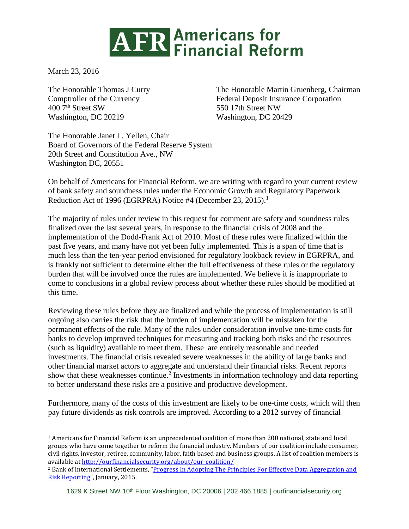## **ATR Americans for<br>ATR Financial Reform**

March 23, 2016

 $\overline{a}$ 

Washington, DC 20219 Washington, DC 20429

The Honorable Thomas J Curry The Honorable Martin Gruenberg, Chairman Comptroller of the Currency<br>
400 7<sup>th</sup> Street SW 550 17th Street NW 550 17th Street NW

The Honorable Janet L. Yellen, Chair Board of Governors of the Federal Reserve System 20th Street and Constitution Ave., NW Washington DC, 20551

On behalf of Americans for Financial Reform, we are writing with regard to your current review of bank safety and soundness rules under the Economic Growth and Regulatory Paperwork Reduction Act of 1996 (EGRPRA) Notice #4 (December 23, 2015).<sup>1</sup>

The majority of rules under review in this request for comment are safety and soundness rules finalized over the last several years, in response to the financial crisis of 2008 and the implementation of the Dodd-Frank Act of 2010. Most of these rules were finalized within the past five years, and many have not yet been fully implemented. This is a span of time that is much less than the ten-year period envisioned for regulatory lookback review in EGRPRA, and is frankly not sufficient to determine either the full effectiveness of these rules or the regulatory burden that will be involved once the rules are implemented. We believe it is inappropriate to come to conclusions in a global review process about whether these rules should be modified at this time.

Reviewing these rules before they are finalized and while the process of implementation is still ongoing also carries the risk that the burden of implementation will be mistaken for the permanent effects of the rule. Many of the rules under consideration involve one-time costs for banks to develop improved techniques for measuring and tracking both risks and the resources (such as liquidity) available to meet them. These are entirely reasonable and needed investments. The financial crisis revealed severe weaknesses in the ability of large banks and other financial market actors to aggregate and understand their financial risks. Recent reports show that these weaknesses continue.<sup>2</sup> Investments in information technology and data reporting to better understand these risks are a positive and productive development.

Furthermore, many of the costs of this investment are likely to be one-time costs, which will then pay future dividends as risk controls are improved. According to a 2012 survey of financial

<sup>1</sup> Americans for Financial Reform is an unprecedented coalition of more than 200 national, state and local groups who have come together to reform the financial industry. Members of our coalition include consumer, civil rights, investor, retiree, community, labor, faith based and business groups. A list of coalition members is available at<http://ourfinancialsecurity.org/about/our-coalition/>

<sup>2</sup> Bank of International Settlements, "[Progress In Adopting The Principles For Effective Data Aggregation and](http://www.bis.org/bcbs/publ/d308.htm)  [Risk Reporting](http://www.bis.org/bcbs/publ/d308.htm)", January, 2015.